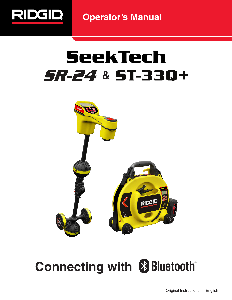

**Operator's Manual**

# **SeekTech** 5R-24 & 5T-330+



## **Connecting with & Bluetooth®**

Original Instructions – English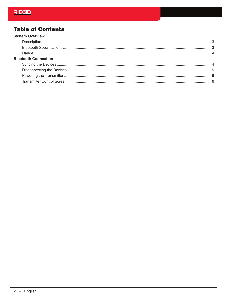#### **Table of Contents**  $\sim$

| <b>System Overview</b>      |  |
|-----------------------------|--|
|                             |  |
|                             |  |
|                             |  |
| <b>Bluetooth Connection</b> |  |
|                             |  |
|                             |  |
|                             |  |
|                             |  |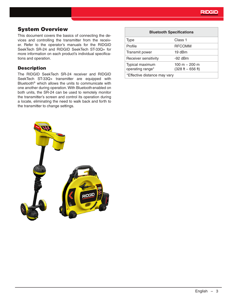#### System Overview

This document covers the basics of connecting the devices and controlling the transmitter from the receiver. Refer to the operator's manuals for the RIDGID SeekTech SR-24 and RIDGID SeekTech ST-33Q+ for more information on each product's individual specifications and operation.

#### **Description**

The RIDGID SeekTech SR-24 receiver and RIDGID SeekTech ST-33Q+ transmitter are equipped with Bluetooth® which allows the units to communicate with one another during operation. With Bluetooth enabled on both units, the SR-24 can be used to remotely monitor the transmitter's screen and control its operation during a locate, eliminating the need to walk back and forth to the transmitter to change settings.

| <b>Bluetooth Specifications</b>     |                                        |  |
|-------------------------------------|----------------------------------------|--|
| <b>Type</b>                         | Class 1                                |  |
| Profile                             | <b>RFCOMM</b>                          |  |
| Transmit power                      | 19 dBm                                 |  |
| Receiver sensitivity                | $-92$ dBm                              |  |
| Typical maximum<br>operating range* | 100 m $-$ 200 m<br>$(328 ft - 656 ft)$ |  |
| *Effective distance may vary        |                                        |  |

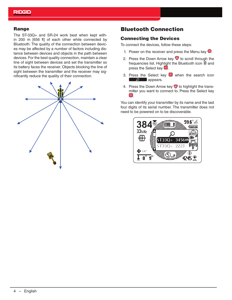#### **Range**

The ST-33Q+ and SR-24 work best when kept within 200 m [656 ft] of each other while connected by Bluetooth. The quality of the connection between devices may be affected by a number of factors including distance between devices and objects in the path between devices. For the best quality connection, maintain a clear line of sight between devices and set the transmitter so its battery faces the receiver. Objects blocking the line of sight between the transmitter and the receiver may significantly reduce the quality of their connection.



#### Bluetooth Connection

#### Connecting the Devices

To connect the devices, follow these steps:

- 1. Power on the receiver and press the Menu key  $\bullet$ .
- 2. Press the Down Arrow key  $\heartsuit$  to scroll through the frequencies list. Highlight the Bluetooth icon  $\mathcal D$  and press the Select key  $\mathbf{\odot}$ .
- 3. Press the Select key  $\bullet$  when the search icon **D** appears.
- 4. Press the Down Arrow key  $\heartsuit$  to highlight the transmitter you want to connect to. Press the Select key  $\odot$ .

You can identify your transmitter by its name and the last four digits of its serial number. The transmitter does not need to be powered on to be discoverable.

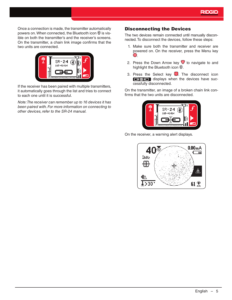Once a connection is made, the transmitter automatically powers on. When connected, the Bluetooth icon  $\circledast$  is visible on both the transmitter's and the receiver's screens. On the transmitter, a chain link image confirms that the two units are connected.



If the receiver has been paired with multiple transmitters, it automatically goes through the list and tries to connect to each one until it is successful.

*Note: The receiver can remember up to 16 devices it has been paired with. For more information on connecting to other devices, refer to the SR-24 manual.* 

#### Disconnecting the Devices

The two devices remain connected until manually disconnected. To disconnect the devices, follow these steps:

- 1. Make sure both the transmitter and receiver are powered on. On the receiver, press the Menu key  $\bullet$
- 2. Press the Down Arrow key  $\mathbf \nabla$  to navigate to and highlight the Bluetooth icon  $\mathcal{L}$ .
- 3. Press the Select key  $\bigcirc$ . The disconnect icon **displays when the devices have suc**cessfully disconnected.

On the transmitter, an image of a broken chain link confirms that the two units are disconnected.



On the receiver, a warning alert displays.

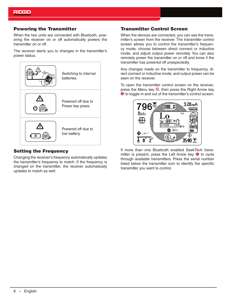#### Powering the Transmitter

When the two units are connected with Bluetooth, powering the receiver on or off automatically powers the transmitter on or off.

The receiver alerts you to changes in the transmitter's power status.



#### Setting the Frequency

Changing the receiver's frequency automatically updates the transmitter's frequency to match. If the frequency is changed on the transmitter, the receiver automatically updates to match as well.

#### Transmitter Control Screen

When the devices are connected, you can see the transmitter's screen from the receiver. The transmitter control screen allows you to control the transmitter's frequency mode, choose between direct connect or inductive mode, and adjust output power remotely. You can also remotely power the transmitter on or off and know if the transmitter has powered off unexpectedly.

Any changes made on the transmitter to frequency, direct connect or inductive mode, and output power can be seen on the receiver.

To open the transmitter control screen on the receiver, press the Menu key , then press the Right Arrow key  $\bullet$  to toggle in and out of the transmitter's control screen.



If more than one Bluetooth enabled SeekTech transmitter is present, press the Left Arrow key  $\bullet$  to cycle through available transmitters. Press the serial number listed below the transmitter icon to identify the specific transmitter you want to control.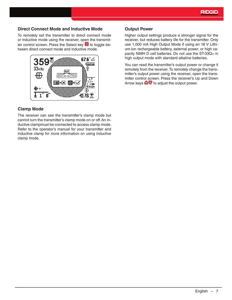#### **Direct Connect Mode and Inductive Mode**

To remotely set the transmitter to direct connect mode or inductive mode using the receiver, open the transmitter control screen. Press the Select key  $\bullet$  to toggle between direct connect mode and inductive mode.



#### **Clamp Mode**

The receiver can see the transmitter's clamp mode but cannot turn the transmitter's clamp mode on or off. An inductive clampmust be connected to access clamp mode. Refer to the operator's manual for your transmitter and inductive clamp for more information on using inductive clamp mode.

#### **Output Power**

Higher output settings produce a stronger signal for the receiver, but reduces battery life for the transmitter. Only use 1,000 mA High Output Mode if using an 18 V Lithium-ion rechargeable battery, external power, or high capacity NiMH D cell batteries. Do not use the ST-33Q+ in high output mode with standard alkaline batteries.

You can read the transmitter's output power or change it remotely from the receiver. To remotely change the transmitter's output power using the receiver, open the transmitter control screen. Press the receiver's Up and Down Arrow keys  $\bigcirc \mathbb{R}$  to adjust the output power.